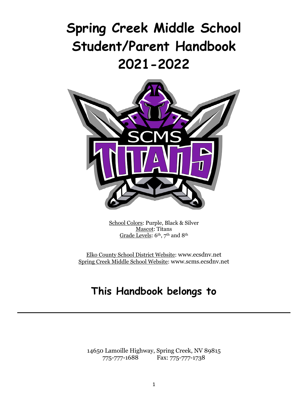# **Spring Creek Middle School Student/Parent Handbook 2021-2022**



School Colors: Purple, Black & Silver Mascot: Titans Grade Levels: 6th, 7th and 8th

Elko County School District Website: [www.ecsdnv.net](http://www.ecsdnv.net/) Spring Creek Middle School Website: [www.scms.ecsdnv.net](http://www.scms.ecsdnv.net/)

## **This Handbook belongs to**

14650 Lamoille Highway, Spring Creek, NV 89815 775-777-1688 Fax: 775-777-1738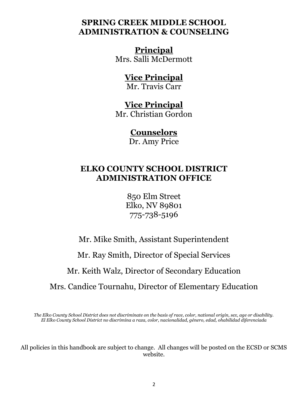## **SPRING CREEK MIDDLE SCHOOL ADMINISTRATION & COUNSELING**

## **Principal**

Mrs. Salli McDermott

## **Vice Principal**

Mr. Travis Carr

## **Vice Principal**

Mr. Christian Gordon

## **Counselors**

Dr. Amy Price

## **ELKO COUNTY SCHOOL DISTRICT ADMINISTRATION OFFICE**

850 Elm Street Elko, NV 89801 775-738-5196

Mr. Mike Smith, Assistant Superintendent Mr. Ray Smith, Director of Special Services Mr. Keith Walz, Director of Secondary Education Mrs. Candice Tournahu, Director of Elementary Education

*The Elko County School District does not discriminate on the basis of race, color, national origin, sex, age or disability. El Elko County School District no discrimina a raza, color, nacionalidad, género, edad, ohabilidad diferenciada*

All policies in this handbook are subject to change. All changes will be posted on the ECSD or SCMS website.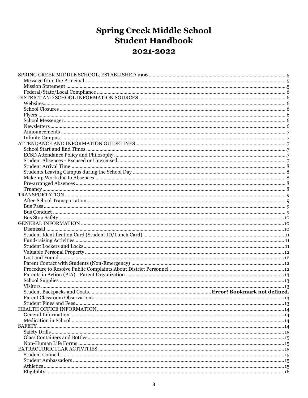## **Spring Creek Middle School Student Handbook** 2021-2022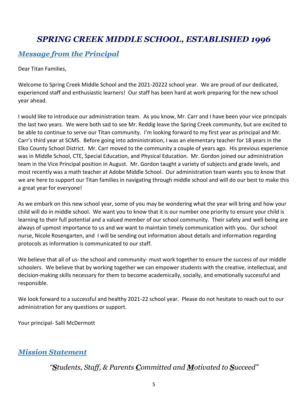## <span id="page-4-0"></span>*SPRING CREEK MIDDLE SCHOOL, ESTABLISHED 1996*

## <span id="page-4-1"></span>*Message from the Principal*

Dear Titan Families,

Welcome to Spring Creek Middle School and the 2021-20222 school year. We are proud of our dedicated, experienced staff and enthusiastic learners! Our staff has been hard at work preparing for the new school year ahead.

I would like to introduce our administration team. As you know, Mr. Carr and I have been your vice principals the last two years. We were both sad to see Mr. Reddig leave the Spring Creek community, but are excited to be able to continue to serve our Titan community. I'm looking forward to my first year as principal and Mr. Carr's third year at SCMS. Before going into administration, I was an elementary teacher for 18 years in the Elko County School District. Mr. Carr moved to the community a couple of years ago. His previous experience was in Middle School, CTE, Special Education, and Physical Education. Mr. Gordon joined our administration team in the Vice Principal position in August. Mr. Gordon taught a variety of subjects and grade levels, and most recently was a math teacher at Adobe Middle School. Our administration team wants you to know that we are here to support our Titan families in navigating through middle school and will do our best to make this a great year for everyone!

As we embark on this new school year, some of you may be wondering what the year will bring and how your child will do in middle school. We want you to know that it is our number one priority to ensure your child is learning to their full potential and a valued member of our school community. Their safety and well-being are always of upmost importance to us and we want to maintain timely communication with you. Our school nurse, Nicole Rosengarten, and I will be sending out information about details and information regarding protocols as information is communicated to our staff.

We believe that all of us- the school and community- must work together to ensure the success of our middle schoolers. We believe that by working together we can empower students with the creative, intellectual, and decision-making skills necessary for them to become academically, socially, and emotionally successful and responsible.

We look forward to a successful and healthy 2021-22 school year. Please do not hesitate to reach out to our administration for any questions or support.

Your principal- Salli McDermott

## <span id="page-4-2"></span>*Mission Statement*

*"Students, Staff, & Parents Committed and Motivated to Succeed"*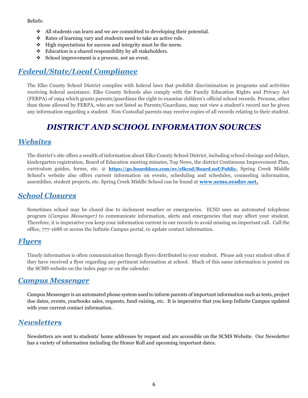Beliefs:

- $\triangleleft$  All students can learn and we are committed to developing their potential.
- ❖ Rates of learning vary and students need to take an active role.
- ❖ High expectations for success and integrity must be the norm.
- ❖ Education is a shared responsibility by all stakeholders.
- ❖ School improvement is a process, not an event.

## <span id="page-5-0"></span>*Federal/State/Local Compliance*

The Elko County School District complies with federal laws that prohibit discrimination in programs and activities receiving federal assistance. Elko County Schools also comply with the Family Education Rights and Privacy Act (FERPA) of 1994 which grants parents/guardians the right to examine children's official school records. Persons, other than those allowed by FERPA, who are not listed as Parents/Guardians, may not view a student's record nor be given any information regarding a student. Non-Custodial parents may receive copies of all records relating to their student.

## *DISTRICT AND SCHOOL INFORMATION SOURCES*

## <span id="page-5-2"></span><span id="page-5-1"></span>*Websites*

The district's site offers a wealth of information about Elko County School District, including school closings and delays, kindergarten registration, Board of Education meeting minutes, Top News, the district Continuous Improvement Plan, curriculum guides, forms, etc. @ **[https://go.boarddocs.com/nv/elkcsd/Board.nsf/Public.](https://go.boarddocs.com/nv/elkcsd/Board.nsf/Public)** Spring Creek Middle School's website also offers current information on events, scheduling and schedules, counseling information, assemblies, student projects, etc. Spring Creek Middle School can be found at **[www.scms.ecsdnv.net.](http://www.scms.ecsdnv.net/)** 

## <span id="page-5-3"></span>*School Closures*

Sometimes school may be closed due to inclement weather or emergencies. ECSD uses an automated telephone program (*Campus Messenger)* to communicate information, alerts and emergencies that may affect your student. Therefore, it is imperative you keep your information current in our records to avoid missing an important call. Call the office, 777-1688 or access the Infinite Campus portal, to update contact information.

### <span id="page-5-4"></span>*Flyers*

Timely information is often communication through flyers distributed to your student. Please ask your student often if they have received a flyer regarding any pertinent information at school. Much of this same information is posted on the SCMS website on the index page or on the calendar.

### <span id="page-5-5"></span>*Campus Messenger*

Campus Messenger is an automated phone system used to inform parents of important information such as tests, project due dates, events, yearbooks sales, requests, fund-raising, etc. It is imperative that you keep Infinite Campus updated with your current contact information.

## <span id="page-5-6"></span>*Newsletters*

Newsletters are sent to students' home addresses by request and are accessible on the SCMS Website. Our Newsletter has a variety of information including the Honor Roll and upcoming important dates.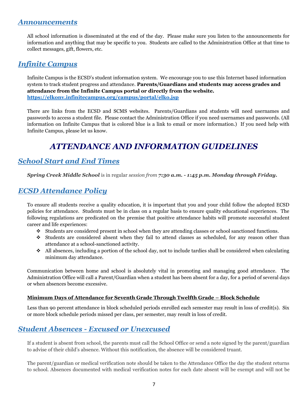### <span id="page-6-0"></span>*Announcements*

All school information is disseminated at the end of the day. Please make sure you listen to the announcements for information and anything that may be specific to you. Students are called to the Administration Office at that time to collect messages, gift, flowers, etc.

## <span id="page-6-1"></span>*Infinite Campus*

Infinite Campus is the ECSD's student information system. We encourage you to use this Internet based information system to track student progress and attendance. **Parents/Guardians and students may access grades and attendance from the Infinite Campus portal or directly from the website. <https://elkonv.infinitecampus.org/campus/portal/elko.jsp>**

There are links from the ECSD and SCMS websites. Parents/Guardians and students will need usernames and passwords to access a student file. Please contact the Administration Office if you need usernames and passwords. (All information on Infinite Campus that is colored blue is a link to email or more information.) If you need help with Infinite Campus, please let us know.

## *ATTENDANCE AND INFORMATION GUIDELINES*

## <span id="page-6-3"></span><span id="page-6-2"></span>*School Start and End Times*

*Spring Creek Middle School* is in regular *session from 7:30 a.m. - 1:45 p.m. Monday through Friday.* 

## <span id="page-6-4"></span>*ECSD Attendance Policy*

To ensure all students receive a quality education, it is important that you and your child follow the adopted ECSD policies for attendance. Students must be in class on a regular basis to ensure quality educational experiences. The following regulations are predicated on the premise that positive attendance habits will promote successful student career and life experiences:

- ❖ Students are considered present in school when they are attending classes or school sanctioned functions.
- ❖ Students are considered absent when they fail to attend classes as scheduled, for any reason other than attendance at a school-sanctioned activity.
- $\bullet$  All absences, including a portion of the school day, not to include tardies shall be considered when calculating minimum day attendance.

Communication between home and school is absolutely vital in promoting and managing good attendance. The Administration Office will call a Parent/Guardian when a student has been absent for a day, for a period of several days or when absences become excessive.

#### **Minimum Days of Attendance for Seventh Grade Through Twelfth Grade – Block Schedule**

Less than 90 percent attendance in block scheduled periods enrolled each semester may result in loss of credit(s). Six or more block schedule periods missed per class, per semester, may result in loss of credit.

## <span id="page-6-5"></span>*Student Absences - Excused or Unexcused*

If a student is absent from school, the parents must call the School Office or send a note signed by the parent/guardian to advise of their child's absence. Without this notification, the absence will be considered truant.

The parent/guardian or medical verification note should be taken to the Attendance Office the day the student returns to school. Absences documented with medical verification notes for each date absent will be exempt and will not be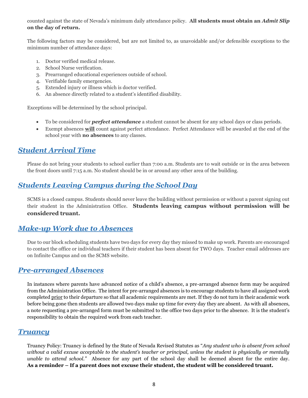counted against the state of Nevada's minimum daily attendance policy. **All students must obtain an** *Admit Slip* **on the day of return.**

The following factors may be considered, but are not limited to, as unavoidable and/or defensible exceptions to the minimum number of attendance days:

- 1. Doctor verified medical release.
- 2. School Nurse verification.
- 3. Prearranged educational experiences outside of school.
- 4. Verifiable family emergencies.
- 5. Extended injury or illness which is doctor verified.
- 6. An absence directly related to a student's identified disability.

Exceptions will be determined by the school principal.

- To be considered for *perfect attendance* a student cannot be absent for any school days or class periods.
- Exempt absences **will** count against perfect attendance. Perfect Attendance will be awarded at the end of the school year with **no absences** to any classes.

## <span id="page-7-0"></span>*Student Arrival Time*

Please do not bring your students to school earlier than 7:00 a.m. Students are to wait outside or in the area between the front doors until 7:15 a.m. No student should be in or around any other area of the building.

### <span id="page-7-1"></span>*Students Leaving Campus during the School Day*

SCMS is a closed campus. Students should never leave the building without permission or without a parent signing out their student in the Administration Office. **Students leaving campus without permission will be considered truant.**

### <span id="page-7-2"></span>*Make-up Work due to Absences*

Due to our block scheduling students have two days for every day they missed to make up work. Parents are encouraged to contact the office or individual teachers if their student has been absent for TWO days. Teacher email addresses are on Infinite Campus and on the SCMS website.

### <span id="page-7-3"></span>*Pre-arranged Absences*

In instances where parents have advanced notice of a child's absence, a pre-arranged absence form may be acquired from the Administration Office. The intent for pre-arranged absences is to encourage students to have all assigned work completed prior to their departure so that all academic requirements are met. If they do not turn in their academic work before being gone then students are allowed two days make up time for every day they are absent. As with all absences, a note requesting a pre-arranged form must be submitted to the office two days prior to the absence. It is the student's responsibility to obtain the required work from each teacher.

### <span id="page-7-4"></span>*Truancy*

Truancy Policy: Truancy is defined by the State of Nevada Revised Statutes as "*Any student who is absent from school without a valid excuse acceptable to the student's teacher or principal, unless the student is physically or mentally unable to attend school."* Absence for any part of the school day shall be deemed absent for the entire day. **As a reminder – If a parent does not excuse their student, the student will be considered truant.**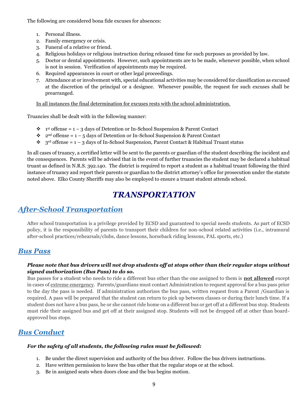The following are considered bona fide excuses for absences:

- 1. Personal illness.
- 2. Family emergency or crisis.
- 3. Funeral of a relative or friend.
- 4. Religious holidays or religious instruction during released time for such purposes as provided by law.
- 5. Doctor or dental appointments. However, such appointments are to be made, whenever possible, when school is not in session. Verification of appointments may be required.
- 6. Required appearances in court or other legal proceedings.
- 7. Attendance at or involvement with, special educational activities may be considered for classification as excused at the discretion of the principal or a designee. Whenever possible, the request for such excuses shall be prearranged.

In all instances the final determination for excuses rests with the school administration.

Truancies shall be dealt with in the following manner:

- $\dots$  1<sup>st</sup> offense = 1 − 3 days of Detention or In-School Suspension & Parent Contact
- ❖ 2nd offense = 1 5 days of Detention or In-School Suspension & Parent Contact
- $\div$  3<sup>rd</sup> offense = 1 3 days of In-School Suspension, Parent Contact & Habitual Truant status

In all cases of truancy, a certified letter will be sent to the parents or guardian of the student describing the incident and the consequences. Parents will be advised that in the event of further truancies the student may be declared a habitual truant as defined in N.R.S. 392.140. The district is required to report a student as a habitual truant following the third instance of truancy and report their parents or guardian to the district attorney's office for prosecution under the statute noted above. Elko County Sheriffs may also be employed to ensure a truant student attends school.

## *TRANSPORTATION*

## <span id="page-8-1"></span><span id="page-8-0"></span>*After-School Transportation*

After school transportation is a privilege provided by ECSD and guaranteed to special needs students. As part of ECSD policy, it is the responsibility of parents to transport their children for non-school related activities (i.e., intramural after-school practices/rehearsals/clubs, dance lessons, horseback riding lessons, PAL sports, etc.)

### <span id="page-8-2"></span>*Bus Pass*

### *Please note that bus drivers will not drop students off at stops other than their regular stops without signed authorization (Bus Pass) to do so.*

Bus passes for a student who needs to ride a different bus other than the one assigned to them is **not allowed** except in cases of extreme emergency. Parents/guardians must contact Administration to request approval for a bus pass prior to the day the pass is needed. If administration authorizes the bus pass, written request from a Parent /Guardian is required. A pass will be prepared that the student can return to pick up between classes or during their lunch time. If a student does not have a bus pass, he or she cannot ride home on a different bus or get off at a different bus stop. Students must ride their assigned bus and get off at their assigned stop. Students will not be dropped off at other than boardapproved bus stops.

## <span id="page-8-3"></span>*Bus Conduct*

#### *For the safety of all students, the following rules must be followed:*

- 1. Be under the direct supervision and authority of the bus driver. Follow the bus drivers instructions.
- 2. Have written permission to leave the bus other that the regular stops or at the school.
- 3. Be in assigned seats when doors close and the bus begins motion.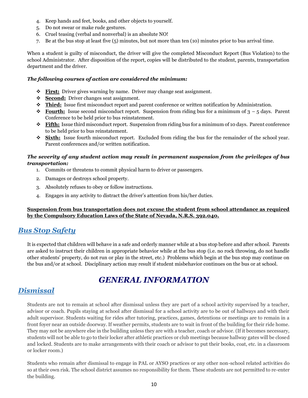- 4. Keep hands and feet, books, and other objects to yourself.
- 5. Do not swear or make rude gestures.
- 6. Cruel teasing (verbal and nonverbal) is an absolute NO!
- 7. Be at the bus stop at least five (5) minutes, but not more than ten (10) minutes prior to bus arrival time.

When a student is guilty of misconduct, the driver will give the completed Misconduct Report (Bus Violation) to the school Administrator. After disposition of the report, copies will be distributed to the student, parents, transportation department and the driver.

#### *The following courses of action are considered the minimum:*

- ❖ **First:** Driver gives warning by name. Driver may change seat assignment.
- ❖ **Second:** Driver changes seat assignment.
- ❖ **Third:** Issue first misconduct report and parent conference or written notification by Administration.
- $\bullet$  **Fourth:** Issue second misconduct report. Suspension from riding bus for a minimum of  $3 5$  days. Parent Conference to be held prior to bus reinstatement.
- ❖ **Fifth:** Issue third misconduct report. Suspension from riding bus for a minimum of 10 days. Parent conference to be held prior to bus reinstatement.
- ❖ **Sixth:** Issue fourth misconduct report. Excluded from riding the bus for the remainder of the school year. Parent conferences and/or written notification.

#### *The severity of any student action may result in permanent suspension from the privileges of bus transportation:*

- 1. Commits or threatens to commit physical harm to driver or passengers.
- 2. Damages or destroys school property.
- 3. Absolutely refuses to obey or follow instructions.
- 4. Engages in any activity to distract the driver's attention from his/her duties.

### **Suspension from bus transportation does not excuse the student from school attendance as required by the Compulsory Education Laws of the State of Nevada, N.R.S. 392.040.**

### <span id="page-9-0"></span>*Bus Stop Safety*

It is expected that children will behave in a safe and orderly manner while at a bus stop before and after school. Parents are asked to instruct their children in appropriate behavior while at the bus stop (i.e. no rock throwing, do not handle other students' property, do not run or play in the street, etc.) Problems which begin at the bus stop may continue on the bus and/or at school. Disciplinary action may result if student misbehavior continues on the bus or at school.

## *GENERAL INFORMATION*

## <span id="page-9-2"></span><span id="page-9-1"></span>*Dismissal*

Students are not to remain at school after dismissal unless they are part of a school activity supervised by a teacher, advisor or coach. Pupils staying at school after dismissal for a school activity are to be out of hallways and with their adult supervisor. Students waiting for rides after tutoring, practices, games, detentions or meetings are to remain in a front foyer near an outside doorway. If weather permits, students are to wait in front of the building for their ride home. They may not be anywhere else in the building unless they are with a teacher, coach or advisor. (If it becomes necessary, students will not be able to go to their locker after athletic practices or club meetings because hallway gates will be closed and locked. Students are to make arrangements with their coach or advisor to put their books, coat, etc. in a classroom or locker room.)

Students who remain after dismissal to engage in PAL or AYSO practices or any other non-school related activities do so at their own risk. The school district assumes no responsibility for them. These students are not permitted to re-enter the building.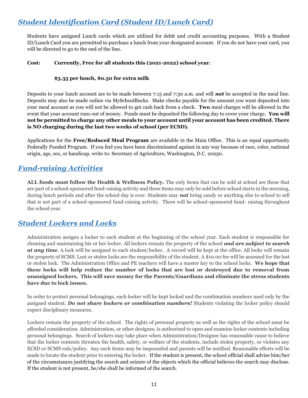## <span id="page-10-0"></span>*Student Identification Card (Student ID/Lunch Card)*

Students have assigned Lunch cards which are utilized for debit and credit accounting purposes. With a Student ID/Lunch Card you are permitted to purchase a lunch from your designated account. If you do not have your card, you will be directed to go to the end of the line.

#### **Cost: Currently, Free for all students this (2021-2022) school year.**

#### **\$3.35 per lunch, \$0.50 for extra milk**

Deposits to your lunch account are to be made between 7:15 and 7:30 a.m. and will *not* be accepted in the meal line. Deposits may also be made online via MySchoolBucks. Make checks payable for the amount you want deposited into your meal account as you will not be allowed to get cash back from a check. **Two** meal charges will be allowed in the event that your account runs out of money. Funds must be deposited the following day to cover your charge. **You will not be permitted to charge any other meals to your account until your account has been credited. There is NO charging during the last two weeks of school (per ECSD).**

Applications for the **Free/Reduced Meal Program** are available in the Main Office. This is an equal opportunity Federally Funded Program. If you feel you have been discriminated against in any way because of race, color, national origin, age, sex, or handicap, write to: Secretary of Agriculture, Washington, D.C. 20250.

## <span id="page-10-1"></span>*Fund-raising Activities*

**ALL foods must follow the Health & Wellness Policy.** The only items that can be sold at school are those that are part of a school-sponsored fund-raising activity and these items may only be sold before school starts in the morning, during lunch periods and after the school day is over. Students may **not** bring candy or anything else to school to sell that is not part of a school-sponsored fund-raising activity. There will be school-sponsored fund- raising throughout the school year.

## <span id="page-10-2"></span>*Student Lockers and Locks*

Administration assigns a locker to each student at the beginning of the school year. Each student is responsible for cleaning and maintaining his or her locker. All lockers remain the property of the school *and are subject to search at any time*. A lock will be assigned to each student/locker. A record will be kept at the office. All locks will remain the property of SCMS. Lost or stolen locks are the responsibility of the student. A \$10.00 fee will be assessed for the lost or stolen lock. The Administration Office and PE teachers will have a master key to the school locks. **We hope that these locks will help reduce the number of locks that are lost or destroyed due to removal from unassigned lockers. This will save money for the Parents/Guardians and eliminate the stress students have due to lock issues.**

In order to protect personal belongings, each locker will be kept locked and the combination numbers used only by the assigned student. *Do not share lockers or combination numbers!* Students violating the locker policy should expect disciplinary measures.

Lockers remain the property of the school. The rights of personal property as well as the rights of the school must be afforded consideration. Administration, or other designee, is authorized to open and examine locker contents including personal belongings. Search of lockers may take place when Administration/Designee has reasonable cause to believe that the locker contents threaten the health, safety, or welfare of the students, include stolen property, or violates any ECSD or SCMS rule/policy. Any such items may be impounded and parents will be notified. Reasonable efforts will be made to locate the student prior to entering the locker. If the student is present, the school official shall advise him/her of the circumstances justifying the search and seizure of the objects which the official believes the search may disclose. If the student is not present, he/she shall be informed of the search.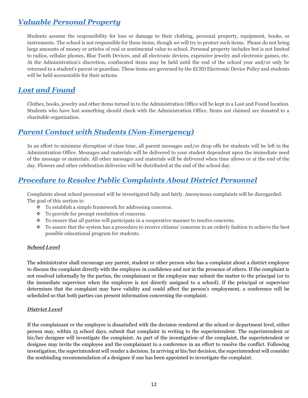## <span id="page-11-0"></span>*Valuable Personal Property*

Students assume the responsibility for loss or damage to their clothing, personal property, equipment, books, or instruments. The school is not responsible for these items, though we will try to protect such items. Please do not bring large amounts of money or articles of real or sentimental value to school. Personal property includes but is not limited to radios, cellular phones, Blue Tooth Devices, and all electronic devices, expensive jewelry and electronic games, etc. At the Administration's discretion, confiscated items may be held until the end of the school year and/or only be returned to a student's parent or guardian. These items are governed by the ECSD Electronic Device Policy and students will be held accountable for their actions.

## <span id="page-11-1"></span>*Lost and Found*

Clothes, books, jewelry and other items turned in to the Administration Office will be kept in a Lost and Found location. Students who have lost something should check with the Administration Office. Items not claimed are donated to a charitable organization.

## <span id="page-11-2"></span>*Parent Contact with Students (Non-Emergency)*

In an effort to minimize disruption of class time, all parent messages and/or drop offs for students will be left in the Administration Office. Messages and materials will be delivered to your student dependent upon the immediate need of the message or materials. All other messages and materials will be delivered when time allows or at the end of the day. Flowers and other celebration deliveries will be distributed at the end of the school day.

## <span id="page-11-3"></span>*Procedure to Resolve Public Complaints About District Personnel*

Complaints about school personnel will be investigated fully and fairly. Anonymous complaints will be disregarded. The goal of this section is:

- ❖ To establish a simple framework for addressing concerns.
- ❖ To provide for prompt resolution of concerns.
- ❖ To ensure that all parties will participate in a cooperative manner to resolve concerns.
- ❖ To assure that the system has a procedure to receive citizens' concerns in an orderly fashion to achieve the best possible educational program for students.

### *School Level*

The administrator shall encourage any parent, student or other person who has a complaint about a district employee to discuss the complaint directly with the employee in confidence and not in the presence of others. If the complaint is not resolved informally by the parties, the complainant or the employee may submit the matter to the principal (or to the immediate supervisor when the employee is not directly assigned to a school). If the principal or supervisor determines that the complaint may have validity and could affect the person's employment, a conference will be scheduled so that both parties can present information concerning the complaint.

#### *District Level*

If the complainant or the employee is dissatisfied with the decision rendered at the school or department level, either person may, within 15 school days, submit that complaint in writing to the superintendent. The superintendent or his/her designee will investigate the complaint. As part of the investigation of the complaint, the superintendent or designee may invite the employee and the complainant to a conference in an effort to resolve the conflict. Following investigation, the superintendent will render a decision. In arriving at his/her decision, the superintendent will consider the nonbinding recommendation of a designee if one has been appointed to investigate the complaint.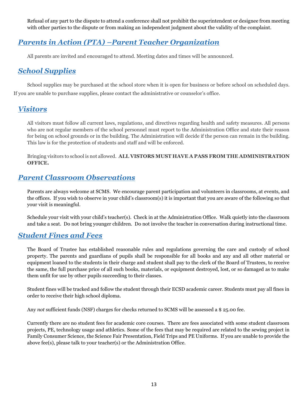Refusal of any part to the dispute to attend a conference shall not prohibit the superintendent or designee from meeting with other parties to the dispute or from making an independent judgment about the validity of the complaint.

## <span id="page-12-0"></span>*Parents in Action (PTA) –Parent Teacher Organization*

All parents are invited and encouraged to attend. Meeting dates and times will be announced.

## <span id="page-12-1"></span>*School Supplies*

School supplies may be purchased at the school store when it is open for business or before school on scheduled days. If you are unable to purchase supplies, please contact the administrative or counselor's office.

## <span id="page-12-2"></span>*Visitors*

All visitors must follow all current laws, regulations, and directives regarding health and safety measures. All persons who are not regular members of the school personnel must report to the Administration Office and state their reason for being on school grounds or in the building. The Administration will decide if the person can remain in the building. This law is for the protection of students and staff and will be enforced.

Bringing visitors to school is not allowed. **ALL VISTORS MUST HAVE A PASS FROM THE ADMINISTRATION OFFICE.**

## <span id="page-12-3"></span>*Parent Classroom Observations*

Parents are always welcome at SCMS. We encourage parent participation and volunteers in classrooms, at events, and the offices. If you wish to observe in your child's classroom(s) it is important that you are aware of the following so that your visit is meaningful.

Schedule your visit with your child's teacher(s). Check in at the Administration Office. Walk quietly into the classroom and take a seat. Do not bring younger children. Do not involve the teacher in conversation during instructional time.

### <span id="page-12-4"></span>*Student Fines and Fees*

The Board of Trustee has established reasonable rules and regulations governing the care and custody of school property. The parents and guardians of pupils shall be responsible for all books and any and all other material or equipment loaned to the students in their charge and student shall pay to the clerk of the Board of Trustees, to receive the same, the full purchase price of all such books, materials, or equipment destroyed, lost, or so damaged as to make them unfit for use by other pupils succeeding to their classes.

Student fines will be tracked and follow the student through their ECSD academic career. Students must pay all fines in order to receive their high school diploma.

Any *not* sufficient funds (NSF) charges for checks returned to SCMS will be assessed a \$ 25.00 fee.

Currently there are no student fees for academic core courses. There are fees associated with some student classroom projects, PE, technology usage and athletics. Some of the fees that may be required are related to the sewing project in Family Consumer Science, the Science Fair Presentation, Field Trips and PE Uniforms. If you are unable to provide the above fee(s), please talk to your teacher(s) or the Administration Office.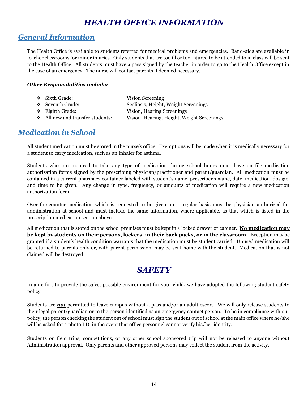## *HEALTH OFFICE INFORMATION*

## <span id="page-13-1"></span><span id="page-13-0"></span>*General Information*

The Health Office is available to students referred for medical problems and emergencies. Band-aids are available in teacher classrooms for minor injuries. Only students that are too ill or too injured to be attended to in class will be sent to the Health Office. All students must have a pass signed by the teacher in order to go to the Health Office except in the case of an emergency. The nurse will contact parents if deemed necessary.

### *Other Responsibilities include:*

| $\div$ Sixth Grade:            | Vision Screening                           |
|--------------------------------|--------------------------------------------|
| ❖ Seventh Grade:               | Scoliosis, Height, Weight Screenings       |
| $\div$ Eighth Grade:           | Vision, Hearing Screenings                 |
| All new and transfer students: | Vision, Hearing, Height, Weight Screenings |

## <span id="page-13-2"></span>*Medication in School*

All student medication must be stored in the nurse's office. Exemptions will be made when it is medically necessary for a student to carry medication, such as an inhaler for asthma.

Students who are required to take any type of medication during school hours must have on file medication authorization forms signed by the prescribing physician/practitioner and parent/guardian. All medication must be contained in a current pharmacy container labeled with student's name, prescriber's name, date, medication, dosage, and time to be given. Any change in type, frequency, or amounts of medication will require a new medication authorization form.

Over-the-counter medication which is requested to be given on a regular basis must be physician authorized for administration at school and must include the same information, where applicable, as that which is listed in the prescription medication section above.

All medication that is stored on the school premises must be kept in a locked drawer or cabinet. **No medication may be kept by students on their persons, lockers, in their back packs, or in the classroom.** Exception may be granted if a student's health condition warrants that the medication must be student carried. Unused medication will be returned to parents only or, with parent permission, may be sent home with the student. Medication that is not claimed will be destroyed.

## *SAFETY*

<span id="page-13-3"></span>In an effort to provide the safest possible environment for your child, we have adopted the following student safety policy.

Students are *not* permitted to leave campus without a pass and/or an adult escort. We will only release students to their legal parent/guardian or to the person identified as an emergency contact person. To be in compliance with our policy, the person checking the student out of school must sign the student out of school at the main office where he/she will be asked for a photo I.D. in the event that office personnel cannot verify his/her identity.

Students on field trips, competitions, or any other school sponsored trip will not be released to anyone without Administration approval. Only parents and other approved persons may collect the student from the activity.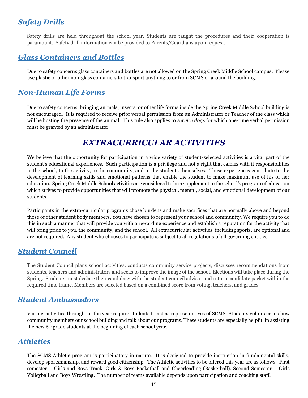## <span id="page-14-0"></span>*Safety Drills*

Safety drills are held throughout the school year. Students are taught the procedures and their cooperation is paramount. Safety drill information can be provided to Parents/Guardians upon request.

## <span id="page-14-1"></span>*Glass Containers and Bottles*

Due to safety concerns glass containers and bottles are not allowed on the Spring Creek Middle School campus. Please use plastic or other non-glass containers to transport anything to or from SCMS or around the building.

## <span id="page-14-2"></span>*Non-Human Life Forms*

Due to safety concerns, bringing animals, insects, or other life forms inside the Spring Creek Middle School building is not encouraged. It is required to receive prior verbal permission from an Administrator or Teacher of the class which will be hosting the presence of the animal. This rule also applies to *service dogs* for which one-time verbal permission must be granted by an administrator.

## *EXTRACURRICULAR ACTIVITIES*

<span id="page-14-3"></span>We believe that the opportunity for participation in a wide variety of student-selected activities is a vital part of the student's educational experiences. Such participation is a privilege and not a right that carries with it responsibilities to the school, to the activity, to the community, and to the students themselves. These experiences contribute to the development of learning skills and emotional patterns that enable the student to make maximum use of his or her education. Spring Creek Middle School activities are considered to be a supplement to the school's program of education which strives to provide opportunities that will promote the physical, mental, social, and emotional development of our students.

Participants in the extra-curricular programs chose burdens and make sacrifices that are normally above and beyond those of other student body members. You have chosen to represent your school and community. We require you to do this in such a manner that will provide you with a rewarding experience and establish a reputation for the activity that will bring pride to you, the community, and the school. All extracurricular activities, including sports, are optional and are not required. Any student who chooses to participate is subject to all regulations of all governing entities.

## <span id="page-14-4"></span>*Student Council*

The Student Council plans school activities, conducts community service projects, discusses recommendations from students, teachers and administrators and seeks to improve the image of the school. Elections will take place during the Spring. Students must declare their candidacy with the student council advisor and return candidate packet within the required time frame. Members are selected based on a combined score from voting, teachers, and grades.

## <span id="page-14-5"></span>*Student Ambassadors*

Various activities throughout the year require students to act as representatives of SCMS. Students volunteer to show community members our school building and talk about our programs. These students are especially helpful in assisting the new 6th grade students at the beginning of each school year.

### <span id="page-14-6"></span>*Athletics*

The SCMS Athletic program is participatory in nature. It is designed to provide instruction in fundamental skills, develop sportsmanship, and reward good citizenship. The Athletic activities to be offered this year are as follows: First semester – Girls and Boys Track, Girls & Boys Basketball and Cheerleading (Basketball). Second Semester – Girls Volleyball and Boys Wrestling. The number of teams available depends upon participation and coaching staff.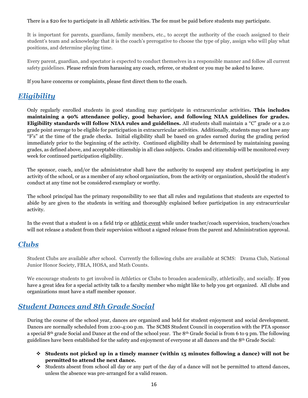There is a \$20 fee to participate in all Athletic activities. The fee must be paid before students may participate.

It is important for parents, guardians, family members, etc., to accept the authority of the coach assigned to their student's team and acknowledge that it is the coach's prerogative to choose the type of play, assign who will play what positions, and determine playing time.

Every parent, guardian, and spectator is expected to conduct themselves in a responsible manner and follow all current safety guidelines. Please refrain from harassing any coach, referee, or student or you may be asked to leave.

If you have concerns or complaints, please first direct them to the coach.

## <span id="page-15-0"></span>*Eligibility*

Only regularly enrolled students in good standing may participate in extracurricular activities**. This includes maintaining a 90% attendance policy, good behavior, and following NIAA guidelines for grades. Eligibility standards will follow NIAA rules and guidelines.** All students shall maintain a "C" grade or a 2.0 grade point average to be eligible for participation in extracurricular activities. Additionally, students may not have any "F's" at the time of the grade checks. Initial eligibility shall be based on grades earned during the grading period immediately prior to the beginning of the activity. Continued eligibility shall be determined by maintaining passing grades, as defined above, and acceptable citizenship in all class subjects. Grades and citizenship will be monitored every week for continued participation eligibility.

The sponsor, coach, and/or the administrator shall have the authority to suspend any student participating in any activity of the school, or as a member of any school organization, from the activity or organization, should the student's conduct at any time not be considered exemplary or worthy.

The school principal has the primary responsibility to see that all rules and regulations that students are expected to abide by are given to the students in writing and thoroughly explained before participation in any extracurricular activity.

In the event that a student is on a field trip or athletic event while under teacher/coach supervision, teachers/coaches will not release a student from their supervision without a signed release from the parent and Administration approval.

### <span id="page-15-1"></span>*Clubs*

Student Clubs are available after school. Currently the following clubs are available at SCMS: Drama Club, National Junior Honor Society, FBLA, HOSA, and Math Counts.

We encourage students to get involved in Athletics or Clubs to broaden academically, athletically, and socially. If you have a great idea for a special activity talk to a faculty member who might like to help you get organized. All clubs and organizations must have a staff member sponsor.

## <span id="page-15-2"></span>*Student Dances and 8th Grade Social*

During the course of the school year, dances are organized and held for student enjoyment and social development. Dances are normally scheduled from 2:00-4:00 p.m. The SCMS Student Council in cooperation with the PTA sponsor a special 8<sup>th</sup> grade Social and Dance at the end of the school year. The 8<sup>th</sup> Grade Social is from 6 to 9 pm. The following guidelines have been established for the safety and enjoyment of everyone at all dances and the 8th Grade Social:

- ❖ **Students not picked up in a timely manner (within 15 minutes following a dance) will not be permitted to attend the next dance.**
- ❖ Students absent from school all day or any part of the day of a dance will not be permitted to attend dances, unless the absence was pre-arranged for a valid reason.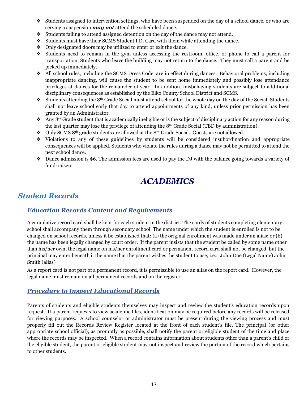- ❖ Students assigned to intervention settings, who have been suspended on the day of a school dance, or who are serving a suspension *may not* attend the scheduled dance.
- ❖ Students failing to attend assigned detention on the day of the dance may not attend.
- ❖ Students must have their SCMS Student I.D. Card with them while attending the dance.
- ❖ Only designated doors may be utilized to enter or exit the dance.
- ❖ Students need to remain in the gym unless accessing the restroom, office, or phone to call a parent for transportation. Students who leave the building may not return to the dance. They must call a parent and be picked up immediately.
- ❖ All school rules, including the SCMS Dress Code, are in effect during dances. Behavioral problems, including inappropriate dancing, will cause the student to be sent home immediately and possibly lose attendance privileges at dances for the remainder of year. In addition, misbehaving students are subject to additional disciplinary consequences as established by the Elko County School District and SCMS.
- $\bullet$  Students attending the 8<sup>th</sup> Grade Social must attend school for the whole day on the day of the Social. Students shall not leave school early that day to attend appointments of any kind, unless prior permission has been granted by an Administrator.
- ❖Any 8th Grade student that is academically ineligible or is the subject of disciplinary action for any reason during the last quarter may lose the privilege of attending the  $8<sup>th</sup>$  Grade Social (TBD by administration).
- ❖ Only SCMS 8th grade students are allowed at the 8th Grade Social. Guests are not allowed.
- ❖ Violations to any of these guidelines by students will be considered insubordination and appropriate consequences will be applied. Students who violate the rules during a dance may not be permitted to attend the next school dance.
- ❖ Dance admission is \$6. The admission fees are used to pay the DJ with the balance going towards a variety of fund-raisers.

## *ACADEMICS*

## <span id="page-16-1"></span><span id="page-16-0"></span>*Student Records*

### <span id="page-16-2"></span>*Education Records Content and Requirements*

A cumulative record card shall be kept for each student in the district. The cards of students completing elementary school shall accompany them through secondary school. The name under which the student is enrolled is not to be changed on school records, unless it be established that: (a) the original enrollment was made under an alias; or (b) the name has been legally changed by court order. If the parent insists that the student be called by some name other than his/her own, the legal name on his/her enrollment card or permanent record card shall not be changed, but the principal may enter beneath it the name that the parent wishes the student to use, i.e.: John Doe (Legal Name) John Smith (alias)

As a report card is not part of a permanent record, it is permissible to use an alias on the report card. However, the legal name must remain on all permanent records and on the register.

### <span id="page-16-3"></span>*Procedure to Inspect Educational Records*

Parents of students and eligible students themselves may inspect and review the student's education records upon request. If a parent requests to view academic files, identification may be required before any records will be released for viewing purposes. A school counselor or administrator must be present during the viewing process and must properly fill out the Records Review Register located at the front of each student's file. The principal (or other appropriate school official), as promptly as possible, shall notify the parent or eligible student of the time and place where the records may be inspected. When a record contains information about students other than a parent's child or the eligible student, the parent or eligible student may not inspect and review the portion of the record which pertains to other students.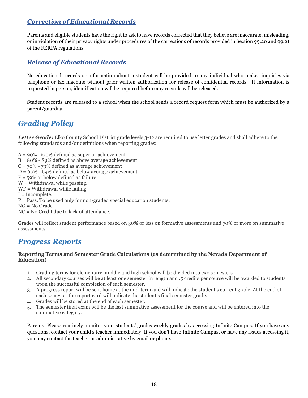### <span id="page-17-0"></span>*Correction of Educational Records*

Parents and eligible students have the right to ask to have records corrected that they believe are inaccurate, misleading, or in violation of their privacy rights under procedures of the corrections of records provided in Section 99.20 and 99.21 of the FERPA regulations.

### <span id="page-17-1"></span>*Release of Educational Records*

No educational records or information about a student will be provided to any individual who makes inquiries via telephone or fax machine without prior written authorization for release of confidential records. If information is requested in person, identification will be required before any records will be released.

Student records are released to a school when the school sends a record request form which must be authorized by a parent/guardian.

## <span id="page-17-2"></span>*Grading Policy*

*Letter Grade:* Elko County School District grade levels 3-12 are required to use letter grades and shall adhere to the following standards and/or definitions when reporting grades:

- $A = 90\% -100\%$  defined as superior achievement
- $B = 80\% 89\%$  defined as above average achievement
- $C = 70\% 79\%$  defined as average achievement
- $D = 60\% 69\%$  defined as below average achievement
- $F = 59\%$  or below defined as failure
- $W =$  Withdrawal while passing.
- WF = Withdrawal while failing.
- I = Incomplete.
- P = Pass. To be used only for non-graded special education students.
- $NG = No$  Grade
- NC = No Credit due to lack of attendance.

Grades will reflect student performance based on 30% or less on formative assessments and 70% or more on summative assessments.

### <span id="page-17-3"></span>*Progress Reports*

#### **Reporting Terms and Semester Grade Calculations (as determined by the Nevada Department of Education)**

- 1. Grading terms for elementary, middle and high school will be divided into two semesters.
- 2. All secondary courses will be at least one semester in length and .5 credits per course will be awarded to students upon the successful completion of each semester.
- 3. A progress report will be sent home at the mid-term and will indicate the student's current grade. At the end of each semester the report card will indicate the student's final semester grade.
- 4. Grades will be stored at the end of each semester.
- 5. The semester final exam will be the last summative assessment for the course and will be entered into the summative category.

Parents: Please routinely monitor your students' grades weekly grades by accessing Infinite Campus. If you have any questions, contact your child's teacher immediately. If you don't have Infinite Campus, or have any issues accessing it, you may contact the teacher or administrative by email or phone.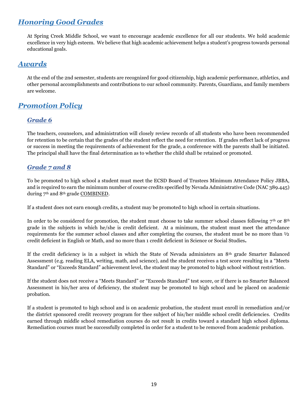## <span id="page-18-0"></span>*Honoring Good Grades*

At Spring Creek Middle School, we want to encourage academic excellence for all our students. We hold academic excellence in very high esteem. We believe that high academic achievement helps a student's progress towards personal educational goals.

## <span id="page-18-1"></span>*Awards*

At the end of the 2nd semester, students are recognized for good citizenship, high academic performance, athletics, and other personal accomplishments and contributions to our school community. Parents, Guardians, and family members are welcome.

## <span id="page-18-2"></span>*Promotion Policy*

### <span id="page-18-3"></span>*Grade 6*

The teachers, counselors, and administration will closely review records of all students who have been recommended for retention to be certain that the grades of the student reflect the need for retention. If grades reflect lack of progress or success in meeting the requirements of achievement for the grade, a conference with the parents shall be initiated. The principal shall have the final determination as to whether the child shall be retained or promoted.

### <span id="page-18-4"></span>*Grade 7 and 8*

To be promoted to high school a student must meet the ECSD Board of Trustees Minimum Attendance Policy JBBA, and is required to earn the minimum number of course credits specified by Nevada Administrative Code (NAC 389.445) during 7<sup>th</sup> and 8<sup>th</sup> grade COMBINED.

If a student does not earn enough credits, a student may be promoted to high school in certain situations.

In order to be considered for promotion, the student must choose to take summer school classes following  $7<sup>th</sup>$  or 8<sup>th</sup> grade in the subjects in which he/she is credit deficient. At a minimum, the student must meet the attendance requirements for the summer school classes and after completing the courses, the student must be no more than ½ credit deficient in English or Math, and no more than 1 credit deficient in Science or Social Studies*.*

If the credit deficiency is in a subject in which the State of Nevada administers an 8th grade Smarter Balanced Assessment (e.g. reading ELA, writing, math, and science), and the student receives a test score resulting in a "Meets Standard" or "Exceeds Standard" achievement level, the student may be promoted to high school without restriction.

If the student does not receive a "Meets Standard" or "Exceeds Standard" test score, or if there is no Smarter Balanced Assessment in his/her area of deficiency, the student may be promoted to high school and be placed on academic probation.

If a student is promoted to high school and is on academic probation, the student must enroll in remediation and/or the district sponsored credit recovery program for thee subject of his/her middle school credit deficiencies. Credits earned through middle school remediation courses do not result in credits toward a standard high school diploma. Remediation courses must be successfully completed in order for a student to be removed from academic probation.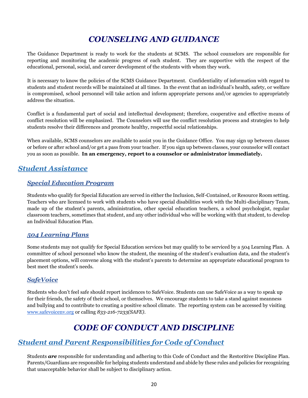## *COUNSELING AND GUIDANCE*

<span id="page-19-0"></span>The Guidance Department is ready to work for the students at SCMS. The school counselors are responsible for reporting and monitoring the academic progress of each student. They are supportive with the respect of the educational, personal, social, and career development of the students with whom they work.

It is necessary to know the policies of the SCMS Guidance Department. Confidentiality of information with regard to students and student records will be maintained at all times. In the event that an individual's health, safety, or welfare is compromised, school personnel will take action and inform appropriate persons and/or agencies to appropriately address the situation.

Conflict is a fundamental part of social and intellectual development; therefore, cooperative and effective means of conflict resolution will be emphasized. The Counselors will use the conflict resolution process and strategies to help students resolve their differences and promote healthy, respectful social relationships.

When available, SCMS counselors are available to assist you in the Guidance Office. You may sign up between classes or before or after school and/or get a pass from your teacher. If you sign up between classes, your counselor will contact you as soon as possible. **In an emergency, report to a counselor or administrator immediately.**

### <span id="page-19-1"></span>*Student Assistance*

### <span id="page-19-2"></span>*Special Education Program*

Students who qualify for Special Education are served in either the Inclusion, Self-Contained, or Resource Room setting. Teachers who are licensed to work with students who have special disabilities work with the Multi-disciplinary Team, made up of the student's parents, administration, other special education teachers, a school psychologist, regular classroom teachers, sometimes that student, and any other individual who will be working with that student, to develop an Individual Education Plan.

### <span id="page-19-3"></span>*504 Learning Plans*

Some students may not qualify for Special Education services but may qualify to be serviced by a 504 Learning Plan. A committee of school personnel who know the student, the meaning of the student's evaluation data, and the student's placement options, will convene along with the student's parents to determine an appropriate educational program to best meet the student's needs.

### <span id="page-19-4"></span>*SafeVoice*

Students who don't feel safe should report incidences to SafeVoice. Students can use SafeVoice as a way to speak up for their friends, the safety of their school, or themselves. We encourage students to take a stand against meanness and bullying and to contribute to creating a positive school climate. The reporting system can be accessed by visiting [www.safevoicenv.org](http://www.safevoicenv.org/) or calling *833-216-7233(SAFE).*

## *CODE OF CONDUCT AND DISCIPLINE*

### <span id="page-19-6"></span><span id="page-19-5"></span>*Student and Parent Responsibilities for Code of Conduct*

Students *are* responsible for understanding and adhering to this Code of Conduct and the Restoritive Discipline Plan. Parents/Guardians are responsible for helping students understand and abide by these rules and policies for recognizing that unacceptable behavior shall be subject to disciplinary action.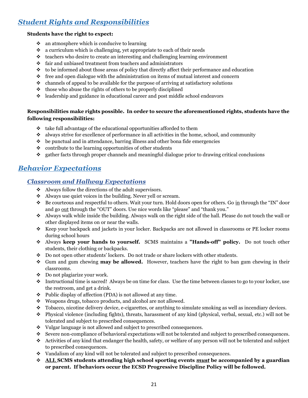## <span id="page-20-0"></span>*Student Rights and Responsibilities*

### **Students have the right to expect:**

- ❖ an atmosphere which is conducive to learning
- ❖ a curriculum which is challenging, yet appropriate to each of their needs
- ❖ teachers who desire to create an interesting and challenging learning environment
- ❖ fair and unbiased treatment from teachers and administrators
- $\bullet\bullet\bullet$  to be informed about those areas of policy that directly affect their performance and education
- $\bullet$  free and open dialogue with the administration on items of mutual interest and concern
- ❖ channels of appeal to be available for the purpose of arriving at satisfactory solutions
- ❖ those who abuse the rights of others to be properly disciplined
- ❖ leadership and guidance in educational career and post middle school endeavors

### **Responsibilities make rights possible. In order to secure the aforementioned rights, students have the following responsibilities:**

- ❖ take full advantage of the educational opportunities afforded to them
- ❖ always strive for excellence of performance in all activities in the home, school, and community
- $\bullet$  be punctual and in attendance, barring illness and other bona fide emergencies
- $\bullet$  contribute to the learning opportunities of other students
- ❖ gather facts through proper channels and meaningful dialogue prior to drawing critical conclusions

## <span id="page-20-2"></span><span id="page-20-1"></span>*Behavior Expectations*

### *Classroom and Hallway Expectations*

- ❖ Always follow the directions of the adult supervisors.
- ❖ Always use quiet voices in the building. Never yell or scream.
- ❖ Be courteous and respectful to others. Wait your turn. Hold doors open for others. Go in through the "IN" door and go out through the "OUT" doors. Use nice words like "please" and "thank you."
- ❖ Always walk while inside the building. Always walk on the right side of the hall. Please do not touch the wall or other displayed items on or near the walls.
- ❖ Keep your backpack and jackets in your locker. Backpacks are not allowed in classrooms or PE locker rooms during school hours
- ❖ Always **keep your hands to yourself.** SCMS maintains a **"Hands-off" policy.** Do not touch other students, their clothing or backpacks.
- ❖ Do not open other students' lockers. Do not trade or share lockers with other students.
- ❖ Gum and gum chewing **may be allowed.** However, teachers have the right to ban gum chewing in their classrooms.
- ❖ Do not plagiarize your work.
- ❖ Instructional time is sacred! Always be on time for class. Use the time between classes to go to your locker, use the restroom, and get a drink.
- ❖ Public display of affection (PDA) is not allowed at any time.
- ❖ Weapons drugs, tobacco products, and alcohol are not allowed.
- ❖ Tobacco, nicotine delivery device, e-cigarettes, or anything to simulate smoking as well as incendiary devices.
- ❖ Physical violence (including fights), threats, harassment of any kind (physical, verbal, sexual, etc.) will not be tolerated and subject to prescribed consequences.
- ❖ Vulgar language is not allowed and subject to prescribed consequences.
- ❖ Severe non-compliance of behavioral expectations will not be tolerated and subject to prescribed consequences.
- ❖ Activities of any kind that endanger the health, safety, or welfare of any person will not be tolerated and subject to prescribed consequences.
- ❖ Vandalism of any kind will not be tolerated and subject to prescribed consequences.
- ❖ **ALL SCMS students attending high school sporting events** *must* **be accompanied by a guardian or parent. If behaviors occur the ECSD Progressive Discipline Policy will be followed.**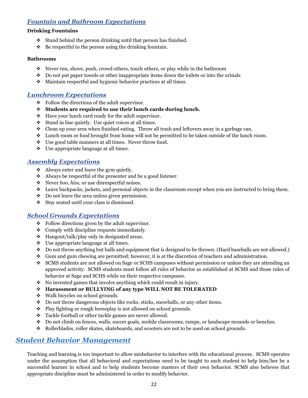### <span id="page-21-0"></span>*Fountain and Bathroom Expectations*

#### **Drinking Fountains**

- ❖ Stand behind the person drinking until that person has finished.
- ❖ Be respectful to the person using the drinking fountain.

#### **Bathrooms**

- ❖ Never run, shove, push, crowd others, touch others, or play while in the bathroom
- $\bullet$  Do not put paper towels or other inappropriate items down the toilets or into the urinals
- ❖ Maintain respectful and hygienic behavior practices at all times.

### <span id="page-21-1"></span>*Lunchroom Expectations*

- ❖ Follow the directions of the adult supervisor.
- ❖ **Students are required to use their lunch cards during lunch.**
- ❖ Have your lunch card ready for the adult supervisor.
- ❖ Stand in line quietly. Use quiet voices at all times.
- ❖ Clean up your area when finished eating. Throw all trash and leftovers away in a garbage can.
- ❖ Lunch room or food brought from home will not be permitted to be taken outside of the lunch room.
- ❖ Use good table manners at all times. Never throw food.
- ❖ Use appropriate language at all times.

### <span id="page-21-2"></span>*Assembly Expectations*

- ❖ Always enter and leave the gym quietly.
- ❖ Always be respectful of the presenter and be a good listener.
- ❖ Never *boo*, *hiss*, or use disrespectful noises.
- ❖ Leave backpacks, jackets, and personal objects in the classroom except when you are instructed to bring them.
- ❖ Do not leave the area unless given permission.
- ❖ Stay seated until your class is dismissed.

### <span id="page-21-3"></span>*School Grounds Expectations*

- ❖ Follow directions given by the adult supervisor.
- ❖ Comply with discipline requests immediately.
- ❖ Hangout/talk/play only in designated areas.
- ❖ Use appropriate language at all times.
- ❖ Do not throw anything but balls and equipment that is designed to be thrown. (Hard baseballs are not allowed.)
- ❖ Gum and gum chewing are permitted; however, it is at the discretion of teachers and administration.
- ❖ SCMS students are not allowed on Sage or SCHS campuses without permission or unless they are attending an approved activity. SCMS students must follow all rules of behavior as established at SCMS and those rules of behavior at Sage and SCHS while on their respective campuses.
- ❖ No invented games that involve anything which could result in injury.
- ❖ **Harassment or BULLYING of any type WILL NOT BE TOLERATED**
- ❖ Walk bicycles on school grounds.
- ❖ Do not throw dangerous objects like rocks, sticks, snowballs, or any other items.
- ❖ Play fighting or rough horseplay is not allowed on school grounds.
- ❖ Tackle football or other tackle games are never allowed.
- ❖ Do not climb on fences, walls, soccer goals, mobile classrooms, ramps, or landscape mounds or benches.
- ❖ Rollerblades, roller skates, skateboards, and scooters are not to be used on school grounds.

## <span id="page-21-4"></span>*Student Behavior Management*

Teaching and learning is too important to allow misbehavior to interfere with the educational process. SCMS operates under the assumption that all behavioral and expectations need to be taught to each student to help him/her be a successful learner in school and to help students become masters of their own behavior. SCMS also believes that appropriate discipline must be administered in order to modify behavior.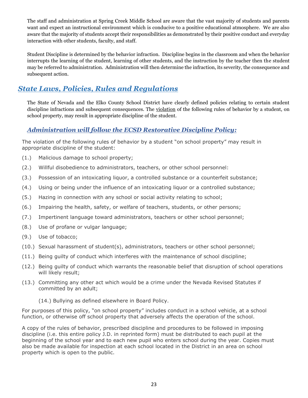The staff and administration at Spring Creek Middle School are aware that the vast majority of students and parents want and expect an instructional environment which is conducive to a positive educational atmosphere. We are also aware that the majority of students accept their responsibilities as demonstrated by their positive conduct and everyday interaction with other students, faculty, and staff.

Student Discipline is determined by the behavior infraction. Discipline begins in the classroom and when the behavior interrupts the learning of the student, learning of other students, and the instruction by the teacher then the student may be referred to administration. Administration will then determine the infraction, its severity, the consequence and subsequent action.

## <span id="page-22-0"></span>*State Laws, Policies, Rules and Regulations*

The State of Nevada and the Elko County School District have clearly defined policies relating to certain student discipline infractions and subsequent consequences. The violation of the following rules of behavior by a student, on school property, may result in appropriate discipline of the student.

### <span id="page-22-1"></span>*Administration will follow the ECSD Restorative Discipline Policy:*

<span id="page-22-2"></span>The violation of the following rules of behavior by a student "on school property" may result in appropriate discipline of the student:

- (1.) Malicious damage to school property;
- (2.) Willful disobedience to administrators, teachers, or other school personnel:
- (3.) Possession of an intoxicating liquor, a controlled substance or a counterfeit substance;
- (4.) Using or being under the influence of an intoxicating liquor or a controlled substance;
- (5.) Hazing in connection with any school or social activity relating to school;
- (6.) Impairing the health, safety, or welfare of teachers, students, or other persons;
- (7.) Impertinent language toward administrators, teachers or other school personnel;
- (8.) Use of profane or vulgar language;
- (9.) Use of tobacco;
- (10.) Sexual harassment of student(s), administrators, teachers or other school personnel;
- (11.) Being guilty of conduct which interferes with the maintenance of school discipline;
- (12.) Being guilty of conduct which warrants the reasonable belief that disruption of school operations will likely result;
- (13.) Committing any other act which would be a crime under the Nevada Revised Statutes if committed by an adult;
	- (14.) Bullying as defined elsewhere in Board Policy.

For purposes of this policy, "on school property" includes conduct in a school vehicle, at a school function, or otherwise off school property that adversely affects the operation of the school.

A copy of the rules of behavior, prescribed discipline and procedures to be followed in imposing discipline (i.e. this entire policy J.D. in reprinted form) must be distributed to each pupil at the beginning of the school year and to each new pupil who enters school during the year. Copies must also be made available for inspection at each school located in the District in an area on school property which is open to the public.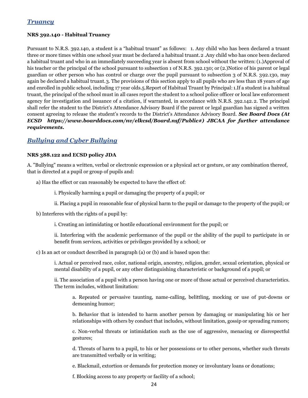### *Truancy*

#### **NRS 392.140 - Habitual Truancy**

Pursuant to N.R.S. 392.140, a student is a "habitual truant" as follows: 1. Any child who has been declared a truant three or more times within one school year must be declared a habitual truant.2 .Any child who has once been declared a habitual truant and who in an immediately succeeding year is absent from school without the written:(1.)Approval of his teacher or the principal of the school pursuant to subsection 1 of N.R.S. 392.130; or (2.)Notice of his parent or legal guardian or other person who has control or charge over the pupil pursuant to subsection 3 of N.R.S. 392.130, may again be declared a habitual truant.3. The provisions of this section apply to all pupils who are less than 18 years of age and enrolled in public school, including 17 year olds.5.Report of Habitual Truant by Principal: 1.If a student is a habitual truant, the principal of the school must in all cases report the student to a school police officer or local law enforcement agency for investigation and issuance of a citation, if warranted, in accordance with N.R.S. 392.142. 2. The principal shall refer the student to the District's Attendance Advisory Board if the parent or legal guardian has signed a written consent agreeing to release the student's records to the District's Attendance Advisory Board. *See Board Docs (At ECSD https://www.boarddocs.com/nv/elkcsd/Board.nsf/Public#) JBCAA for further attendance requirements.*

### <span id="page-23-0"></span>*Bullying and Cyber Bullying*

#### **NRS 388.122 and ECSD policy JDA**

A. "Bullying" means a written, verbal or electronic expression or a physical act or gesture, or any combination thereof, that is directed at a pupil or group of pupils and:

a) Has the effect or can reasonably be expected to have the effect of:

i. Physically harming a pupil or damaging the property of a pupil; or

ii. Placing a pupil in reasonable fear of physical harm to the pupil or damage to the property of the pupil; or

b) Interferes with the rights of a pupil by:

i. Creating an intimidating or hostile educational environment for the pupil; or

ii. Interfering with the academic performance of the pupil or the ability of the pupil to participate in or benefit from services, activities or privileges provided by a school; or

c) Is an act or conduct described in paragraph (a) or (b) and is based upon the:

i. Actual or perceived race, color, national origin, ancestry, religion, gender, sexual orientation, physical or mental disability of a pupil, or any other distinguishing characteristic or background of a pupil; or

ii. The association of a pupil with a person having one or more of those actual or perceived characteristics. The term includes, without limitation:

a. Repeated or pervasive taunting, name-calling, belittling, mocking or use of put-downs or demeaning humor;

b. Behavior that is intended to harm another person by damaging or manipulating his or her relationships with others by conduct that includes, without limitation, gossip or spreading rumors;

c. Non-verbal threats or intimidation such as the use of aggressive, menacing or disrespectful gestures;

d. Threats of harm to a pupil, to his or her possessions or to other persons, whether such threats are transmitted verbally or in writing;

e. Blackmail, extortion or demands for protection money or involuntary loans or donations;

f. Blocking access to any property or facility of a school;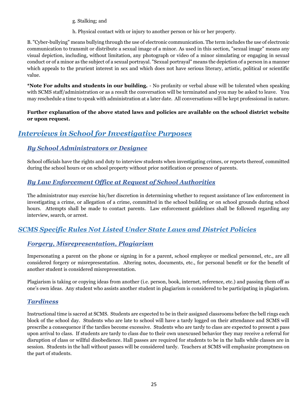g. Stalking; and

h. Physical contact with or injury to another person or his or her property.

B. "Cyber-bullying" means bullying through the use of electronic communication. The term includes the use of electronic communication to transmit or distribute a sexual image of a minor. As used in this section, "sexual image" means any visual depiction, including, without limitation, any photograph or video of a minor simulating or engaging in sexual conduct or of a minor as the subject of a sexual portrayal. "Sexual portrayal" means the depiction of a person in a manner which appeals to the prurient interest in sex and which does not have serious literary, artistic, political or scientific value.

**\*Note For adults and students in our building.** - No profanity or verbal abuse will be tolerated when speaking with SCMS staff/administration or as a result the conversation will be terminated and you may be asked to leave. You may reschedule a time to speak with administration at a later date. All conversations will be kept professional in nature.

### **Further explanation of the above stated laws and policies are available on the school district website or upon request.**

## <span id="page-24-0"></span>*Interviews in School for Investigative Purposes*

### <span id="page-24-1"></span>*By School Administrators or Designee*

School officials have the rights and duty to interview students when investigating crimes, or reports thereof, committed during the school hours or on school property without prior notification or presence of parents.

### <span id="page-24-2"></span>*By Law Enforcement Office at Request of School Authorities*

The administrator may exercise his/her discretion in determining whether to request assistance of law enforcement in investigating a crime, or allegation of a crime, committed in the school building or on school grounds during school hours. Attempts shall be made to contact parents. Law enforcement guidelines shall be followed regarding any interview, search, or arrest.

## <span id="page-24-3"></span>*SCMS Specific Rules Not Listed Under State Laws and District Policies*

### <span id="page-24-4"></span>*Forgery, Misrepresentation, Plagiarism*

Impersonating a parent on the phone or signing in for a parent, school employee or medical personnel, etc., are all considered forgery or misrepresentation. Altering notes, documents, etc., for personal benefit or for the benefit of another student is considered misrepresentation.

Plagiarism is taking or copying ideas from another (i.e. person, book, internet, reference, etc.) and passing them off as one's own ideas. Any student who assists another student in plagiarism is considered to be participating in plagiarism.

### <span id="page-24-5"></span>*Tardiness*

Instructional time is sacred at SCMS. Students are expected to be in their assigned classrooms before the bell rings each block of the school day. Students who are late to school will have a tardy logged on their attendance and SCMS will prescribe a consequence if the tardies become excessive. Students who are tardy to class are expected to present a pass upon arrival to class. If students are tardy to class due to their own unexcused behavior they may receive a referral for disruption of class or willful disobedience. Hall passes are required for students to be in the halls while classes are in session. Students in the hall without passes will be considered tardy. Teachers at SCMS will emphasize promptness on the part of students.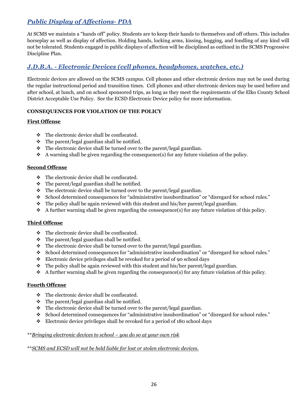## <span id="page-25-0"></span>*Public Display of Affections- PDA*

At SCMS we maintain a "hands off" policy. Students are to keep their hands to themselves and off others. This includes horseplay as well as display of affection. Holding hands, locking arms, kissing, hugging, and fondling of any kind will not be tolerated. Students engaged in public displays of affection will be disciplined as outlined in the SCMS Progressive Discipline Plan.

### <span id="page-25-1"></span>*J.D.B.A. - Electronic Devices (cell phones, headphones, watches, etc.)*

Electronic devices are allowed on the SCMS campus. Cell phones and other electronic devices may not be used during the regular instructional period and transition times. Cell phones and other electronic devices may be used before and after school, at lunch, and on school sponsored trips, as long as they meet the requirements of the Elko County School District Acceptable Use Policy. See the ECSD Electronic Device policy for more information.

### <span id="page-25-2"></span>**CONSEQUENCES FOR VIOLATION OF THE POLICY**

### **First Offense**

- ❖ The electronic device shall be confiscated.
- $\div$  The parent/legal guardian shall be notified.
- $\cdot \cdot$  The electronic device shall be turned over to the parent/legal guardian.
- ❖ A warning shall be given regarding the consequence(s) for any future violation of the policy.

### **Second Offense**

- ❖ The electronic device shall be confiscated.
- ❖ The parent/legal guardian shall be notified.
- ❖ The electronic device shall be turned over to the parent/legal guardian.
- ❖ School determined consequences for "administrative insubordination" or "disregard for school rules."
- $\cdot \cdot$  The policy shall be again reviewed with this student and his/her parent/legal guardian.
- $\triangle$  A further warning shall be given regarding the consequence(s) for any future violation of this policy.

#### **Third Offense**

- ❖ The electronic device shall be confiscated.
- ❖ The parent/legal guardian shall be notified.
- ❖ The electronic device shall be turned over to the parent/legal guardian.
- ❖ School determined consequences for "administrative insubordination" or "disregard for school rules."
- ❖ Electronic device privileges shall be revoked for a period of 90 school days
- ❖ The policy shall be again reviewed with this student and his/her parent/legal guardian.
- $\triangle$  A further warning shall be given regarding the consequence(s) for any future violation of this policy.

#### **Fourth Offense**

- ❖ The electronic device shall be confiscated.
- $\cdot \cdot$  The parent/legal guardian shall be notified.
- ❖ The electronic device shall be turned over to the parent/legal guardian.
- ❖ School determined consequences for "administrative insubordination" or "disregard for school rules."
- ❖ Electronic device privileges shall be revoked for a period of 180 school days

#### \*\**Bringing electronic devices to school – you do so at your own risk*

#### \*\**SCMS and ECSD will not be held liable for lost or stolen electronic devices.*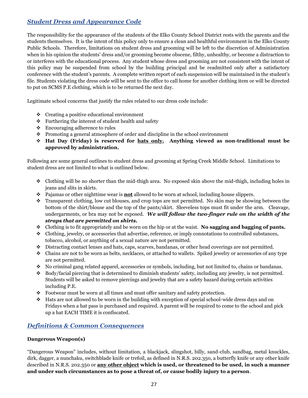### <span id="page-26-0"></span>*Student Dress and Appearance Code*

The responsibility for the appearance of the students of the Elko County School District rests with the parents and the students themselves. It is the intent of this policy only to ensure a clean and healthful environment in the Elko County Public Schools. Therefore, limitations on student dress and grooming will be left to the discretion of Administration when in his opinion the students' dress and/or grooming become obscene, filthy, unhealthy, or become a distraction to or interferes with the educational process. Any student whose dress and grooming are not consistent with the intent of this policy may be suspended from school by the building principal and be readmitted only after a satisfactory conference with the student's parents. A complete written report of each suspension will be maintained in the student's file. Students violating the dress code will be sent to the office to call home for another clothing item or will be directed to put on SCMS P.E clothing, which is to be returned the next day.

Legitimate school concerns that justify the rules related to our dress code include:

- ❖ Creating a positive educational environment
- ❖ Furthering the interest of student health and safety
- ❖ Encouraging adherence to rules
- ❖ Promoting a general atmosphere of order and discipline in the school environment
- ❖ **Hat Day (Friday) is reserved for hats only. Anything viewed as non-traditional must be approved by administration.**

Following are some general outlines to student dress and grooming at Spring Creek Middle School. Limitations to student dress are not limited to what is outlined below.

- ❖ Clothing will be no shorter than the mid-thigh area. No exposed skin above the mid-thigh, including holes in jeans and slits in skirts.
- ❖ Pajamas or other nighttime wear is **not** allowed to be worn at school, including house slippers.
- ❖ Transparent clothing, low cut blouses, and crop tops are not permitted. No skin may be showing between the bottom of the shirt/blouse and the top of the pants/skirt. Sleeveless tops must fit under the arm. Cleavage, undergarments, or bra may not be exposed. *We will follow the two-finger rule on the width of the straps that are permitted on shirts.*
- ❖ Clothing is to fit appropriately and be worn on the hip or at the waist. **No sagging and bagging of pants.**
- ❖ Clothing, jewelry, or accessories that advertise, reference, or imply connotations to controlled substances, tobacco, alcohol, or anything of a sexual nature are not permitted.
- ❖ Distracting contact lenses and hats, caps, scarves, bandanas, or other head coverings are not permitted.
- ❖ Chains are not to be worn as belts, necklaces, or attached to wallets. Spiked jewelry or accessories of any type are not permitted.
- ❖ No criminal gang related apparel, accessories or symbols, including, but not limited to, chains or bandanas.
- ❖ Body/facial piercing that is determined to diminish students' safety, including any jewelry, is not permitted. Students will be asked to remove piercings and jewelry that are a safety hazard during certain activities including P.E.
- ❖ Footwear must be worn at all times and must offer sanitary and safety protection.
- ❖ Hats are not allowed to be worn in the building with exception of special school-wide dress days and on Fridays when a hat pass is purchased and required. A parent will be required to come to the school and pick up a hat EACH TIME it is confiscated.

### <span id="page-26-1"></span>*Definitions & Common Consequences*

### **Dangerous Weapon(s)**

"Dangerous Weapon" includes, without limitation, a blackjack, slingshot, billy, sand-club, sandbag, metal knuckles, dirk, dagger, a nunchaku, switchblade knife or trefoil, as defined in N.R.S. 202.350, a butterfly knife or any other knife described in N.R.S. 202.350 or **any other object which is used, or threatened to be used, in such a manner and under such circumstances as to pose a threat of, or cause bodily injury to a person**.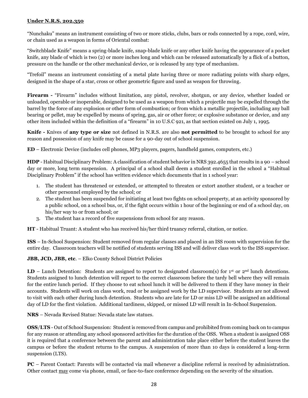#### **Under N.R.S. 202.350**

"Nunchaku" means an instrument consisting of two or more sticks, clubs, bars or rods connected by a rope, cord, wire, or chain used as a weapon in forms of Oriental combat:

"Switchblade Knife" means a spring-blade knife, snap-blade knife or any other knife having the appearance of a pocket knife, any blade of which is two (2) or more inches long and which can be released automatically by a flick of a button, pressure on the handle or the other mechanical device, or is released by any type of mechanism.

"Trefoil" means an instrument consisting of a metal plate having three or more radiating points with sharp edges, designed in the shape of a star, cross or other geometric figure and used as weapon for throwing.

**Firearm -** "Firearm" includes without limitation, any pistol, revolver, shotgun, or any device, whether loaded or unloaded, operable or inoperable, designed to be used as a weapon from which a projectile may be expelled through the barrel by the force of any explosion or other form of combustion; or from which a metallic projectile, including any ball bearing or pellet, may be expelled by means of spring, gas, air or other force; or explosive substance or device, and any other item included within the definition of a "firearm" in 10 U.S.C 921, as that section existed on July 1, 1995.

**Knife -** Knives of **any type or size** not defined in N.R.S. are also **not permitted** to be brought to school for any reason and possession of any knife may be cause for a 90-day out of school suspension.

**ED** – Electronic Device (includes cell phones, MP3 players, pagers, handheld games, computers, etc.)

**HDP** - Habitual Disciplinary Problem: A classification of student behavior in NRS 392.4655 that results in a 90 – school day or more, long term suspension. A principal of a school shall deem a student enrolled in the school a "Habitual Disciplinary Problem" if the school has written evidence which documents that in 1 school year:

- 1. The student has threatened or extended, or attempted to threaten or extort another student, or a teacher or other personnel employed by the school; or
- 2. The student has been suspended for initiating at least two fights on school property, at an activity sponsored by a public school, on a school bus, or, if the fight occurs within 1 hour of the beginning or end of a school day, on his/her way to or from school; or
- 3. The student has a record of five suspensions from school for any reason.

**HT** - Habitual Truant: A student who has received his/her third truancy referral, citation, or notice.

**ISS** – In-School Suspension: Student removed from regular classes and placed in an ISS room with supervision for the entire day. Classroom teachers will be notified of students serving ISS and will deliver class work to the ISS supervisor.

**JBB, JCD, JBB, etc**. – Elko County School District Policies

**LD** – Lunch Detention: Students are assigned to report to designated classroom(s) for  $1^{st}$  or  $2^{nd}$  lunch detentions. Students assigned to lunch detention will report to the correct classroom before the tardy bell where they will remain for the entire lunch period. If they choose to eat school lunch it will be delivered to them if they have money in their accounts. Students will work on class work, read or be assigned work by the LD supervisor. Students are not allowed to visit with each other during lunch detention. Students who are late for LD or miss LD will be assigned an additional day of LD for the first violation. Additional tardiness, skipped, or missed LD will result in In-School Suspension.

**NRS** – Nevada Revised Statue: Nevada state law statues.

**OSS**/**LTS** - Out of School Suspension: Student is removed from campus and prohibited from coming back on to campus for any reason or attending any school sponsored activities for the duration of the OSS. When a student is assigned OSS it is required that a conference between the parent and administration take place either before the student leaves the campus or before the student returns to the campus. A suspension of more than 10 days is considered a long-term suspension (LTS).

**PC** – Parent Contact: Parents will be contacted via mail whenever a discipline referral is received by administration. Other contact may come via phone, email, or face-to-face conference depending on the severity of the situation.